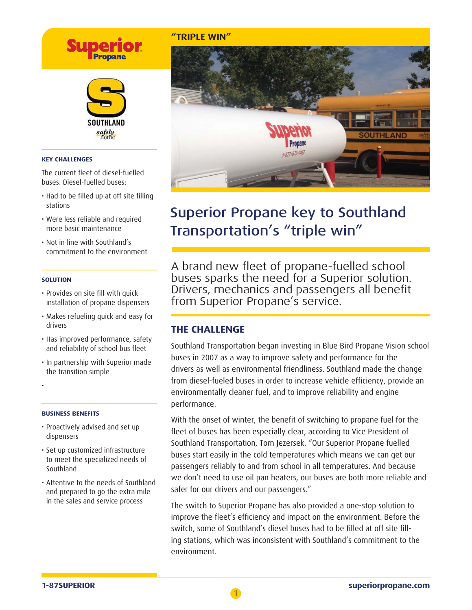# **Supe**



#### **KEY CHALLENGES**

The current fleet of diesel-fuelled buses: Diesel-fuelled buses:

- Had to be filled up at off site filling stations
- Were less reliable and required more basic maintenance
- Not in line with Southland's commitment to the environment

#### **SOLUTION**

- Provides on site fill with quick installation of propane dispensers
- Makes refueling quick and easy for drivers
- Has improved performance, safety and reliability of school bus fleet
- In partnership with Superior made the transition simple

•

#### **BUSINESS BENEFITS**

- Proactively advised and set up dispensers
- Set up customized infrastructure to meet the specialized needs of Southland
- Attentive to the needs of Southland and prepared to go the extra mile in the sales and service process

#### **"TRIPLE WIN"**



# Superior Propane key to Southland Transportation's "triple win"

A brand new fleet of propane-fuelled school buses sparks the need for a Superior solution. Drivers, mechanics and passengers all benefit from Superior Propane's service.

### **THE CHALLENGE**

Southland Transportation began investing in Blue Bird Propane Vision school buses in 2007 as a way to improve safety and performance for the drivers as well as environmental friendliness. Southland made the change from diesel-fueled buses in order to increase vehicle efficiency, provide an environmentally cleaner fuel, and to improve reliability and engine performance.

With the onset of winter, the benefit of switching to propane fuel for the fleet of buses has been especially clear, according to Vice President of Southland Transportation, Tom Jezersek. "Our Superior Propane fuelled buses start easily in the cold temperatures which means we can get our passengers reliably to and from school in all temperatures. And because we don't need to use oil pan heaters, our buses are both more reliable and safer for our drivers and our passengers."

The switch to Superior Propane has also provided a one-stop solution to improve the fleet's efficiency and impact on the environment. Before the switch, some of Southland's diesel buses had to be filled at off site filling stations, which was inconsistent with Southland's commitment to the environment.

1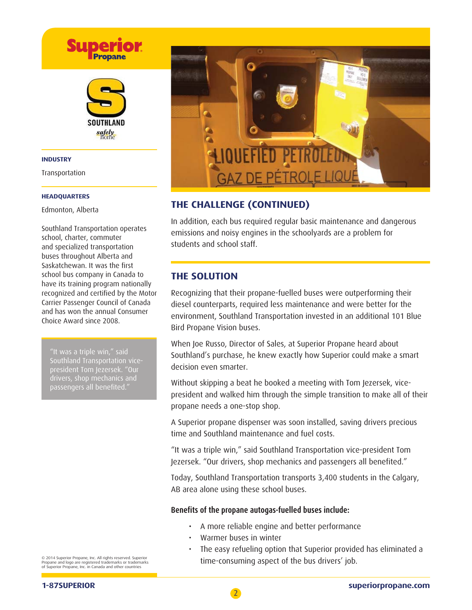

#### **INDUSTRY**

Transportation

#### **HEADQUARTERS**

Edmonton, Alberta

Southland Transportation operates school, charter, commuter and specialized transportation buses throughout Alberta and Saskatchewan. It was the first school bus company in Canada to have its training program nationally recognized and certified by the Motor Carrier Passenger Council of Canada and has won the annual Consumer Choice Award since 2008.

"It was a triple win," said Southland Transportation vicepresident Tom Jezersek. "Our drivers, shop mechanics and passengers all benefited."

**GAZ DE PÉTRO** 

# **THE CHALLENGE (CONTINUED)**

In addition, each bus required regular basic maintenance and dangerous emissions and noisy engines in the schoolyards are a problem for students and school staff.

# **THE SOLUTION**

Recognizing that their propane-fuelled buses were outperforming their diesel counterparts, required less maintenance and were better for the environment, Southland Transportation invested in an additional 101 Blue Bird Propane Vision buses.

When Joe Russo, Director of Sales, at Superior Propane heard about Southland's purchase, he knew exactly how Superior could make a smart decision even smarter.

Without skipping a beat he booked a meeting with Tom Jezersek, vicepresident and walked him through the simple transition to make all of their propane needs a one-stop shop.

A Superior propane dispenser was soon installed, saving drivers precious time and Southland maintenance and fuel costs.

"It was a triple win," said Southland Transportation vice-president Tom Jezersek. "Our drivers, shop mechanics and passengers all benefited."

Today, Southland Transportation transports 3,400 students in the Calgary, AB area alone using these school buses.

### Benefits of the propane autogas-fuelled buses include:

- A more reliable engine and better performance
- Warmer buses in winter
- The easy refueling option that Superior provided has eliminated a time-consuming aspect of the bus drivers' job.

© 2014 Superior Propane, Inc. All rights reserved. Superior Propane and logo are registered trademarks or trademarks of Superior Propane, Inc. in Canada and other countries